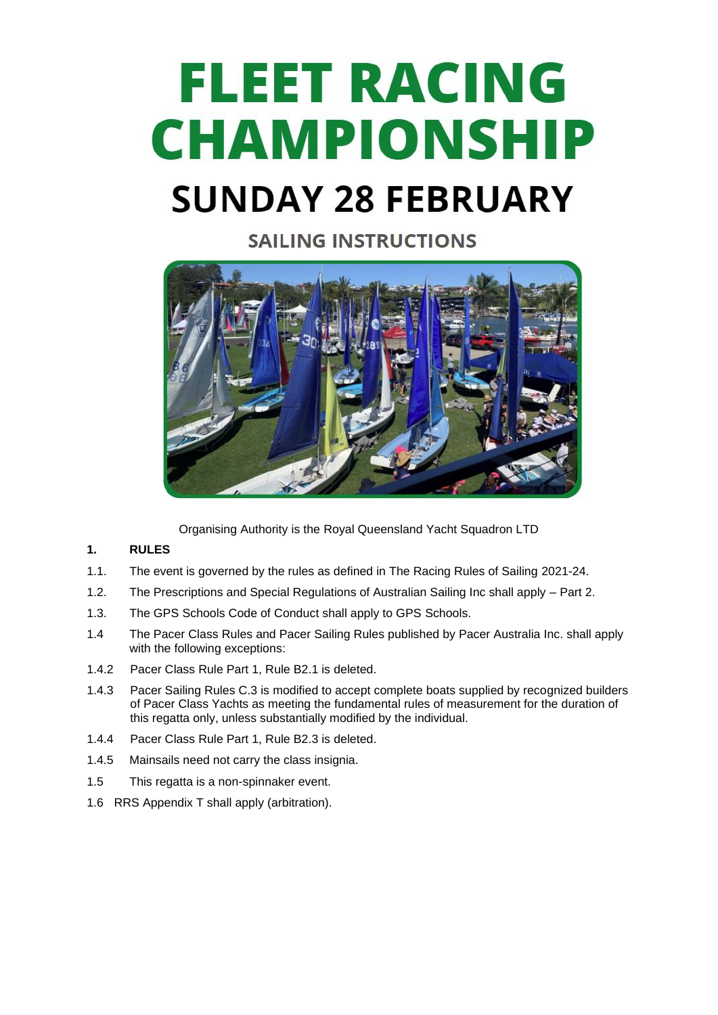# **FLEET RACING CHAMPIONSHIP SUNDAY 28 FEBRUARY**

# **SAILING INSTRUCTIONS**



Organising Authority is the Royal Queensland Yacht Squadron LTD

# **1. RULES**

- 1.1. The event is governed by the rules as defined in The Racing Rules of Sailing 2021-24.
- 1.2. The Prescriptions and Special Regulations of Australian Sailing Inc shall apply Part 2.
- 1.3. The GPS Schools Code of Conduct shall apply to GPS Schools.
- 1.4 The Pacer Class Rules and Pacer Sailing Rules published by Pacer Australia Inc. shall apply with the following exceptions:
- 1.4.2 Pacer Class Rule Part 1, Rule B2.1 is deleted.
- 1.4.3 Pacer Sailing Rules C.3 is modified to accept complete boats supplied by recognized builders of Pacer Class Yachts as meeting the fundamental rules of measurement for the duration of this regatta only, unless substantially modified by the individual.
- 1.4.4 Pacer Class Rule Part 1, Rule B2.3 is deleted.
- 1.4.5 Mainsails need not carry the class insignia.
- 1.5 This regatta is a non-spinnaker event.
- 1.6 RRS Appendix T shall apply (arbitration).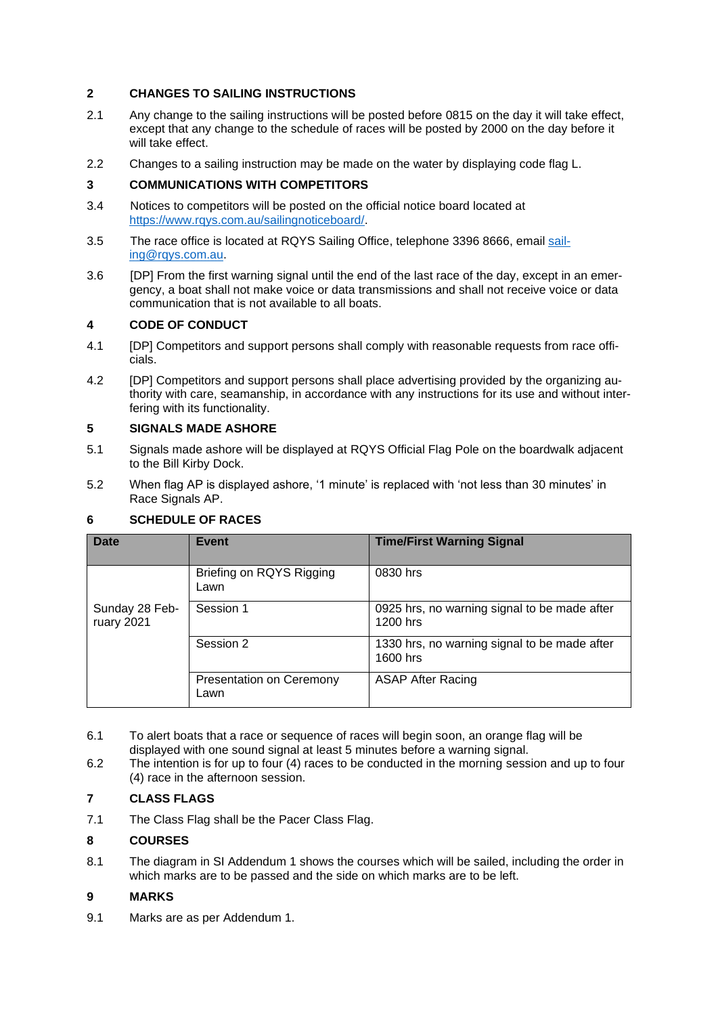# **2 CHANGES TO SAILING INSTRUCTIONS**

- 2.1 Any change to the sailing instructions will be posted before 0815 on the day it will take effect, except that any change to the schedule of races will be posted by 2000 on the day before it will take effect.
- 2.2 Changes to a sailing instruction may be made on the water by displaying code flag L.

# **3 COMMUNICATIONS WITH COMPETITORS**

- 3.4 Notices to competitors will be posted on the official notice board located at [https://www.rqys.com.au/sailingnoticeboard/.](https://www.rqys.com.au/sailingnoticeboard/)
- 3.5 The race office is located at RQYS Sailing Office, telephone 3396 8666, email [sail](mailto:sailing@rqys.com.au)[ing@rqys.com.au.](mailto:sailing@rqys.com.au)
- 3.6 [DP] From the first warning signal until the end of the last race of the day, except in an emergency, a boat shall not make voice or data transmissions and shall not receive voice or data communication that is not available to all boats.

# **4 CODE OF CONDUCT**

- 4.1 [DP] Competitors and support persons shall comply with reasonable requests from race officials.
- 4.2 [DP] Competitors and support persons shall place advertising provided by the organizing authority with care, seamanship, in accordance with any instructions for its use and without interfering with its functionality.

# **5 SIGNALS MADE ASHORE**

- 5.1 Signals made ashore will be displayed at RQYS Official Flag Pole on the boardwalk adjacent to the Bill Kirby Dock.
- 5.2 When flag AP is displayed ashore, '1 minute' is replaced with 'not less than 30 minutes' in Race Signals AP.

# **6 SCHEDULE OF RACES**

| <b>Date</b>                  | <b>Event</b>                     | <b>Time/First Warning Signal</b>                         |
|------------------------------|----------------------------------|----------------------------------------------------------|
|                              | Briefing on RQYS Rigging<br>Lawn | 0830 hrs                                                 |
| Sunday 28 Feb-<br>ruary 2021 | Session 1                        | 0925 hrs, no warning signal to be made after<br>1200 hrs |
|                              | Session 2                        | 1330 hrs, no warning signal to be made after<br>1600 hrs |
|                              | Presentation on Ceremony<br>Lawn | <b>ASAP After Racing</b>                                 |

- 6.1 To alert boats that a race or sequence of races will begin soon, an orange flag will be displayed with one sound signal at least 5 minutes before a warning signal.
- 6.2 The intention is for up to four (4) races to be conducted in the morning session and up to four (4) race in the afternoon session.

# **7 CLASS FLAGS**

7.1 The Class Flag shall be the Pacer Class Flag.

# **8 COURSES**

8.1 The diagram in SI Addendum 1 shows the courses which will be sailed, including the order in which marks are to be passed and the side on which marks are to be left.

# **9 MARKS**

9.1 Marks are as per Addendum 1.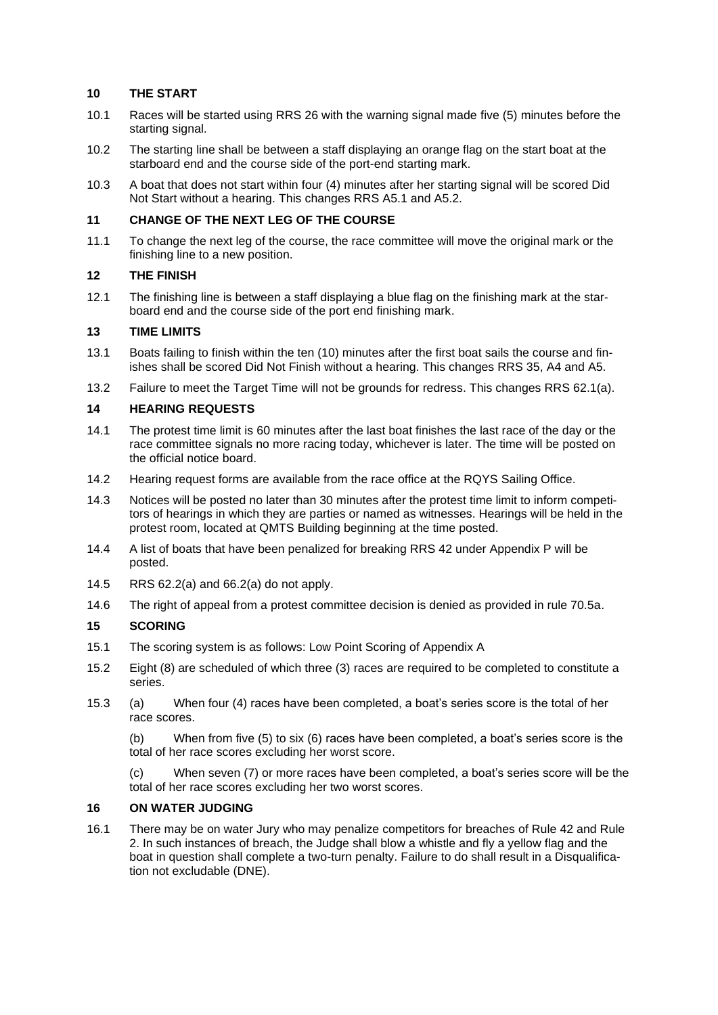# **10 THE START**

- 10.1 Races will be started using RRS 26 with the warning signal made five (5) minutes before the starting signal.
- 10.2 The starting line shall be between a staff displaying an orange flag on the start boat at the starboard end and the course side of the port-end starting mark.
- 10.3 A boat that does not start within four (4) minutes after her starting signal will be scored Did Not Start without a hearing. This changes RRS A5.1 and A5.2.

# **11 CHANGE OF THE NEXT LEG OF THE COURSE**

11.1 To change the next leg of the course, the race committee will move the original mark or the finishing line to a new position.

# **12 THE FINISH**

12.1 The finishing line is between a staff displaying a blue flag on the finishing mark at the starboard end and the course side of the port end finishing mark.

#### **13 TIME LIMITS**

- 13.1 Boats failing to finish within the ten (10) minutes after the first boat sails the course and finishes shall be scored Did Not Finish without a hearing. This changes RRS 35, A4 and A5.
- 13.2 Failure to meet the Target Time will not be grounds for redress. This changes RRS 62.1(a).

#### **14 HEARING REQUESTS**

- 14.1 The protest time limit is 60 minutes after the last boat finishes the last race of the day or the race committee signals no more racing today, whichever is later. The time will be posted on the official notice board.
- 14.2 Hearing request forms are available from the race office at the RQYS Sailing Office.
- 14.3 Notices will be posted no later than 30 minutes after the protest time limit to inform competitors of hearings in which they are parties or named as witnesses. Hearings will be held in the protest room, located at QMTS Building beginning at the time posted.
- 14.4 A list of boats that have been penalized for breaking RRS 42 under Appendix P will be posted.
- 14.5 RRS 62.2(a) and 66.2(a) do not apply.
- 14.6 The right of appeal from a protest committee decision is denied as provided in rule 70.5a.

# **15 SCORING**

- 15.1 The scoring system is as follows: Low Point Scoring of Appendix A
- 15.2 Eight (8) are scheduled of which three (3) races are required to be completed to constitute a series.
- 15.3 (a) When four (4) races have been completed, a boat's series score is the total of her race scores.

(b) When from five (5) to six (6) races have been completed, a boat's series score is the total of her race scores excluding her worst score.

(c) When seven (7) or more races have been completed, a boat's series score will be the total of her race scores excluding her two worst scores.

# **16 ON WATER JUDGING**

16.1 There may be on water Jury who may penalize competitors for breaches of Rule 42 and Rule 2. In such instances of breach, the Judge shall blow a whistle and fly a yellow flag and the boat in question shall complete a two-turn penalty. Failure to do shall result in a Disqualification not excludable (DNE).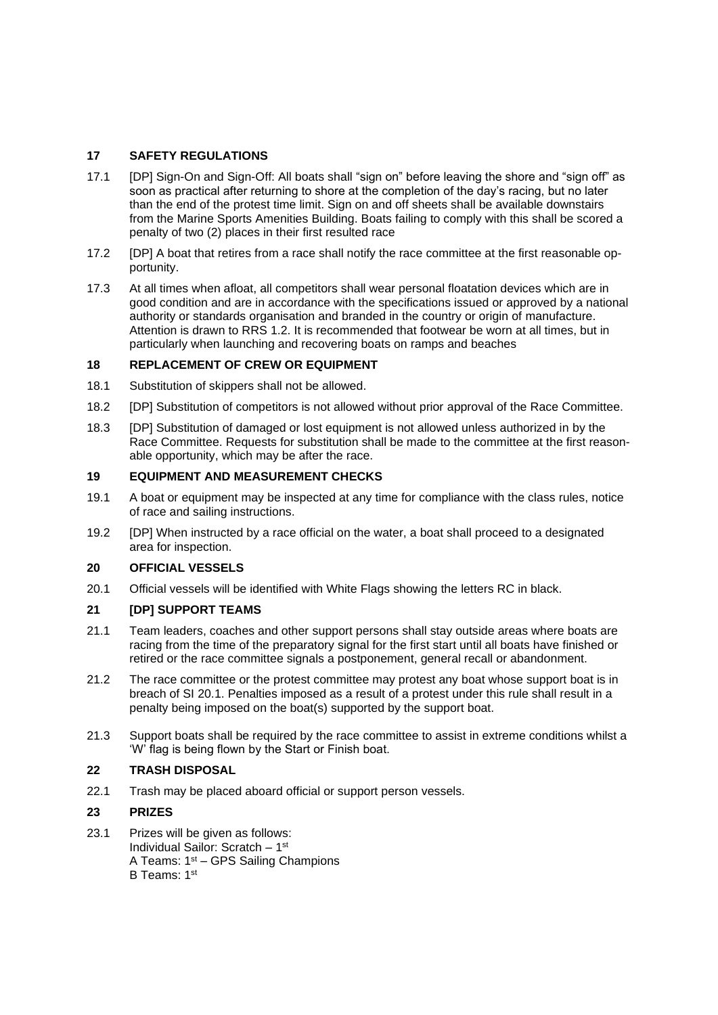# **17 SAFETY REGULATIONS**

- 17.1 [DP] Sign-On and Sign-Off: All boats shall "sign on" before leaving the shore and "sign off" as soon as practical after returning to shore at the completion of the day's racing, but no later than the end of the protest time limit. Sign on and off sheets shall be available downstairs from the Marine Sports Amenities Building. Boats failing to comply with this shall be scored a penalty of two (2) places in their first resulted race
- 17.2 [DP] A boat that retires from a race shall notify the race committee at the first reasonable opportunity.
- 17.3 At all times when afloat, all competitors shall wear personal floatation devices which are in good condition and are in accordance with the specifications issued or approved by a national authority or standards organisation and branded in the country or origin of manufacture. Attention is drawn to RRS 1.2. It is recommended that footwear be worn at all times, but in particularly when launching and recovering boats on ramps and beaches

#### **18 REPLACEMENT OF CREW OR EQUIPMENT**

- 18.1 Substitution of skippers shall not be allowed.
- 18.2 [DP] Substitution of competitors is not allowed without prior approval of the Race Committee.
- 18.3 [DP] Substitution of damaged or lost equipment is not allowed unless authorized in by the Race Committee. Requests for substitution shall be made to the committee at the first reasonable opportunity, which may be after the race.

# **19 EQUIPMENT AND MEASUREMENT CHECKS**

- 19.1 A boat or equipment may be inspected at any time for compliance with the class rules, notice of race and sailing instructions.
- 19.2 [DP] When instructed by a race official on the water, a boat shall proceed to a designated area for inspection.

#### **20 OFFICIAL VESSELS**

20.1 Official vessels will be identified with White Flags showing the letters RC in black.

# **21 [DP] SUPPORT TEAMS**

- 21.1 Team leaders, coaches and other support persons shall stay outside areas where boats are racing from the time of the preparatory signal for the first start until all boats have finished or retired or the race committee signals a postponement, general recall or abandonment.
- 21.2 The race committee or the protest committee may protest any boat whose support boat is in breach of SI 20.1. Penalties imposed as a result of a protest under this rule shall result in a penalty being imposed on the boat(s) supported by the support boat.
- 21.3 Support boats shall be required by the race committee to assist in extreme conditions whilst a 'W' flag is being flown by the Start or Finish boat.

# **22 TRASH DISPOSAL**

22.1 Trash may be placed aboard official or support person vessels.

# **23 PRIZES**

23.1 Prizes will be given as follows: Individual Sailor: Scratch – 1 st A Teams: 1st – GPS Sailing Champions B Teams: 1st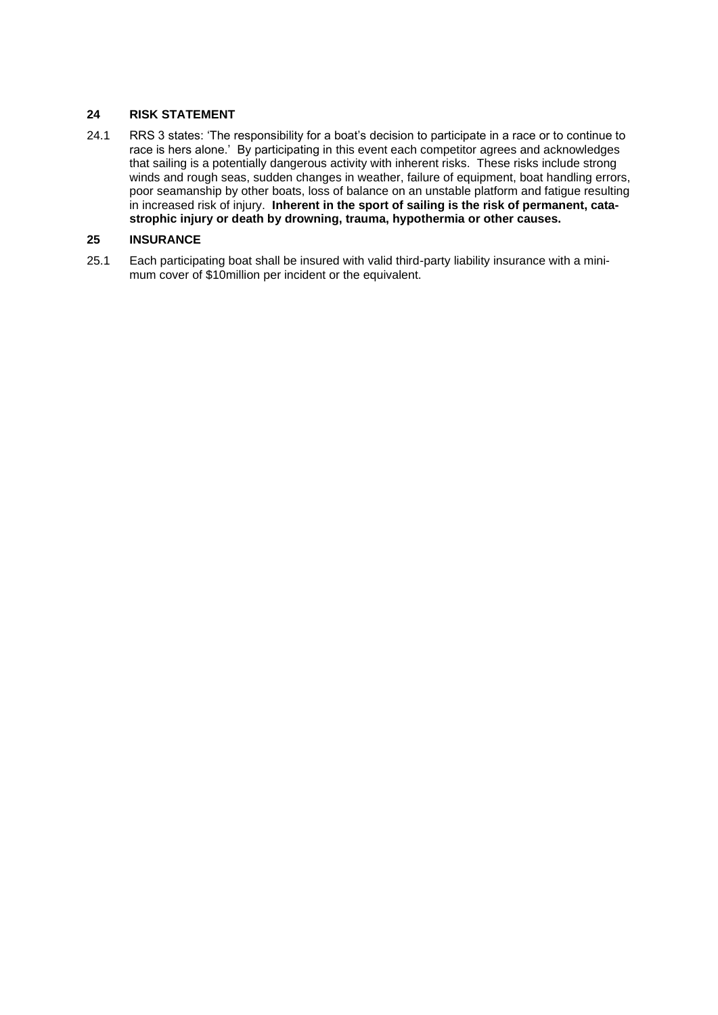# **24 RISK STATEMENT**

24.1 RRS 3 states: 'The responsibility for a boat's decision to participate in a race or to continue to race is hers alone.' By participating in this event each competitor agrees and acknowledges that sailing is a potentially dangerous activity with inherent risks. These risks include strong winds and rough seas, sudden changes in weather, failure of equipment, boat handling errors, poor seamanship by other boats, loss of balance on an unstable platform and fatigue resulting in increased risk of injury. **Inherent in the sport of sailing is the risk of permanent, catastrophic injury or death by drowning, trauma, hypothermia or other causes.**

# **25 INSURANCE**

25.1 Each participating boat shall be insured with valid third-party liability insurance with a minimum cover of \$10million per incident or the equivalent.